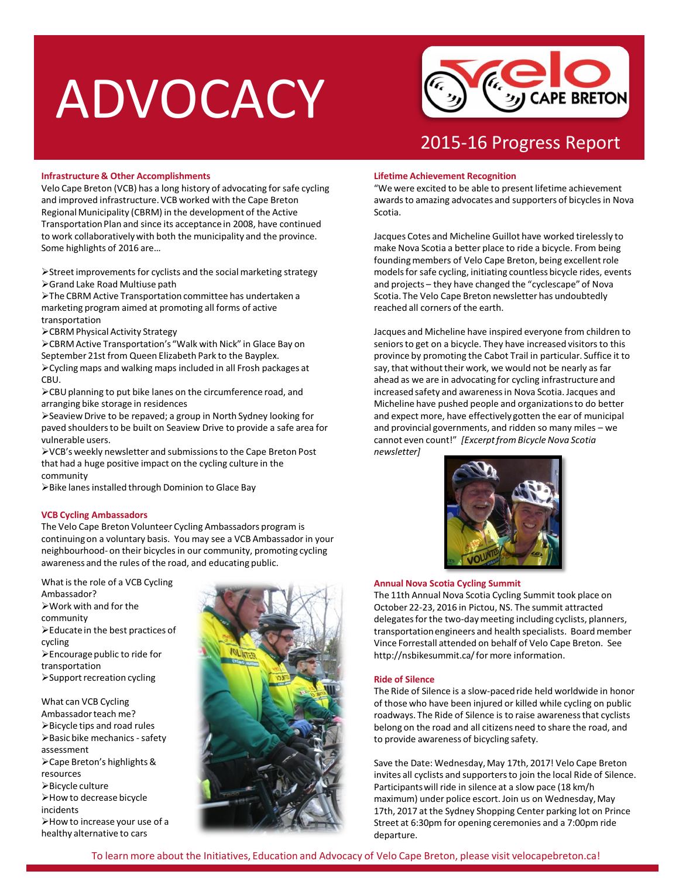## ADVOCACY



### 2015-16 Progress Report

#### **Infrastructure & Other Accomplishments**

Velo Cape Breton (VCB) has a long history of advocating for safe cycling and improved infrastructure. VCB worked with the Cape Breton Regional Municipality (CBRM) in the development of the Active Transportation Plan and since its acceptance in 2008, have continued to work collaboratively with both the municipality and the province. Some highlights of 2016 are…

Street improvements for cyclists and the social marketing strategy Grand Lake Road Multiuse path

The CBRM Active Transportation committee has undertaken a marketing program aimed at promoting all forms of active transportation

CBRM Physical Activity Strategy

CBRM Active Transportation's "Walk with Nick" in Glace Bay on September 21st from Queen Elizabeth Park to the Bayplex. Cycling maps and walking maps included in all Frosh packages at CBU.

CBU planning to put bike lanes on the circumference road, and arranging bike storage in residences

Seaview Drive to be repaved; a group in North Sydney looking for paved shoulders to be built on Seaview Drive to provide a safe area for vulnerable users.

VCB's weekly newsletter and submissions to the Cape Breton Post that had a huge positive impact on the cycling culture in the community

Bike lanes installed through Dominion to Glace Bay

#### **VCB Cycling Ambassadors**

The Velo Cape Breton Volunteer Cycling Ambassadors program is continuing on a voluntary basis. You may see a VCB Ambassador in your neighbourhood- on their bicycles in our community, promoting cycling awareness and the rules of the road, and educating public.

What is the role of a VCB Cycling Ambassador?  $\triangleright$  Work with and for the

- community Educate in the best practices of cycling  $\blacktriangleright$  Encourage public to ride for transportation Support recreation cycling
- What can VCB Cycling Ambassador teach me? Bicycle tips and road rules  $\triangleright$  Basic bike mechanics - safety assessment Cape Breton's highlights & resources Bicycle culture How to decrease bicycle incidents How to increase your use of a healthy alternative to cars



#### **Lifetime Achievement Recognition**

"We were excited to be able to present lifetime achievement awards to amazing advocates and supporters of bicycles in Nova Scotia.

Jacques Cotes and Micheline Guillot have worked tirelessly to make Nova Scotia a better place to ride a bicycle. From being founding members of Velo Cape Breton, being excellent role models for safe cycling, initiating countless bicycle rides, events and projects – they have changed the "cyclescape" of Nova Scotia. The Velo Cape Breton newsletter has undoubtedly reached all corners of the earth.

Jacques and Micheline have inspired everyone from children to seniors to get on a bicycle. They have increased visitors to this province by promoting the Cabot Trail in particular. Suffice it to say, that without their work, we would not be nearly as far ahead as we are in advocating for cycling infrastructure and increased safety and awareness in Nova Scotia. Jacques and Micheline have pushed people and organizations to do better and expect more, have effectively gotten the ear of municipal and provincial governments, and ridden so many miles – we cannot even count!" *[Excerpt from Bicycle Nova Scotia newsletter]*



#### **Annual Nova Scotia Cycling Summit**

The 11th Annual Nova Scotia Cycling Summit took place on October 22-23, 2016 in Pictou, NS. The summit attracted delegates for the two-day meeting including cyclists, planners, transportation engineers and health specialists. Board member Vince Forrestall attended on behalf of Velo Cape Breton. See http://nsbikesummit.ca/ for more information.

#### **Ride of Silence**

The Ride of Silence is a slow-paced ride held worldwide in honor of those who have been injured or killed while cycling on public roadways. The Ride of Silence is to raise awareness that cyclists belong on the road and all citizens need to share the road, and to provide awareness of bicycling safety.

Save the Date: Wednesday, May 17th, 2017! Velo Cape Breton invites all cyclists and supporters to join the local Ride of Silence. Participants will ride in silence at a slow pace (18 km/h maximum) under police escort. Join us on Wednesday, May 17th, 2017 at the Sydney Shopping Center parking lot on Prince Street at 6:30pm for opening ceremonies and a 7:00pm ride departure.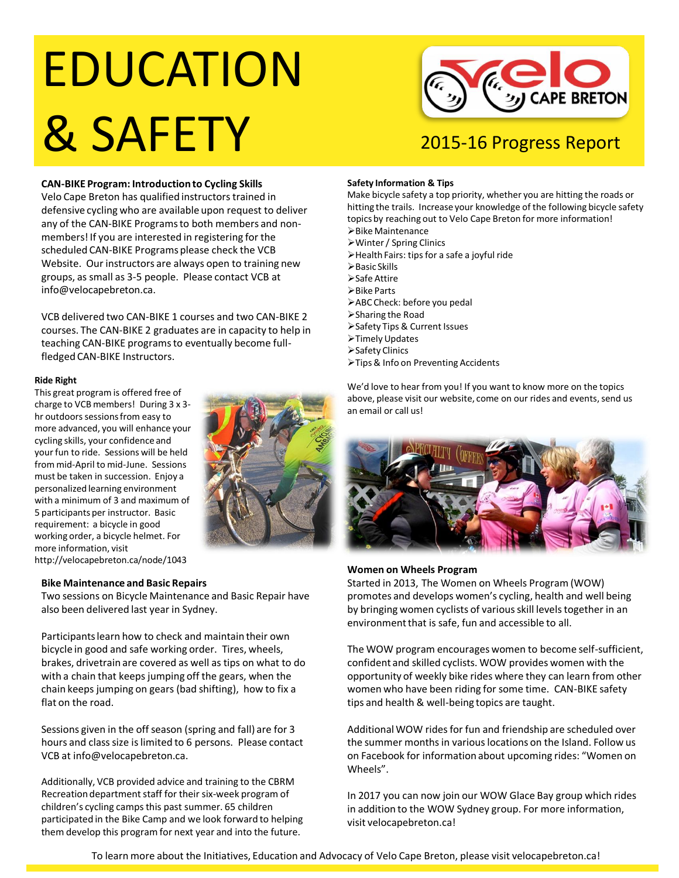# EDUCATION **& SAFETY** 2015-16 Progress Report



#### **CAN-BIKE Program: Introduction to Cycling Skills**

Velo Cape Breton has qualified instructors trained in defensive cycling who are available upon request to deliver any of the CAN-BIKE Programs to both members and nonmembers! If you are interested in registering for the scheduled CAN-BIKE Programs please check the VCB Website. Our instructors are always open to training new groups, as small as 3-5 people. Please contact VCB at info@velocapebreton.ca.

VCB delivered two CAN-BIKE 1 courses and two CAN-BIKE 2 courses. The CAN-BIKE 2 graduates are in capacity to help in teaching CAN-BIKE programs to eventually become fullfledged CAN-BIKE Instructors.

#### **Ride Right**

This great program is offered free of charge to VCB members! During 3 x 3 hr outdoors sessions from easy to more advanced, you will enhance your cycling skills, your confidence and your fun to ride. Sessions will be held from mid-April to mid-June. Sessions must be taken in succession. Enjoy a personalized learning environment with a minimum of 3 and maximum of 5 participants per instructor. Basic requirement: a bicycle in good working order, a bicycle helmet. For more information, visit http://velocapebreton.ca/node/1043



#### **Bike Maintenance and Basic Repairs**

Two sessions on Bicycle Maintenance and Basic Repair have also been delivered last year in Sydney.

Participants learn how to check and maintain their own bicycle in good and safe working order. Tires, wheels, brakes, drivetrain are covered as well as tips on what to do with a chain that keeps jumping off the gears, when the chain keeps jumping on gears (bad shifting), how to fix a flat on the road.

Sessions given in the off season (spring and fall) are for 3 hours and class size is limited to 6 persons. Please contact VCB at info@velocapebreton.ca.

Additionally, VCB provided advice and training to the CBRM Recreation department staff for their six-week program of children's cycling camps this past summer. 65 children participated in the Bike Camp and we look forward to helping them develop this program for next year and into the future.

#### **Safety Information & Tips**

Make bicycle safety a top priority, whether you are hitting the roads or hitting the trails. Increase your knowledge of the following bicycle safety topics by reaching out to Velo Cape Breton for more information!

- Bike Maintenance Winter / Spring Clinics
- Health Fairs: tips for a safe a joyful ride
- $\triangleright$  Basic Skills
- Safe Attire
- **≻Bike Parts**
- ABC Check: before you pedal
- Sharing the Road
- Safety Tips & Current Issues
- Timely Updates
- Safety Clinics
- Tips & Info on Preventing Accidents

We'd love to hear from you! If you want to know more on the topics above, please visit our website, come on our rides and events, send us an email or call us!



#### **Women on Wheels Program**

Started in 2013, The Women on Wheels Program (WOW) promotes and develops women's cycling, health and well being by bringing women cyclists of various skill levels together in an environment that is safe, fun and accessible to all.

The WOW program encourages women to become self-sufficient, confident and skilled cyclists. WOW provides women with the opportunity of weekly bike rides where they can learn from other women who have been riding for some time. CAN-BIKE safety tips and health & well-being topics are taught.

Additional WOW rides for fun and friendship are scheduled over the summer months in various locations on the Island. Follow us on Facebook for information about upcoming rides: "Women on Wheels".

In 2017 you can now join our WOW Glace Bay group which rides in addition to the WOW Sydney group. For more information, visit velocapebreton.ca!

To learn more about the Initiatives, Education and Advocacy of Velo Cape Breton, please visit velocapebreton.ca!